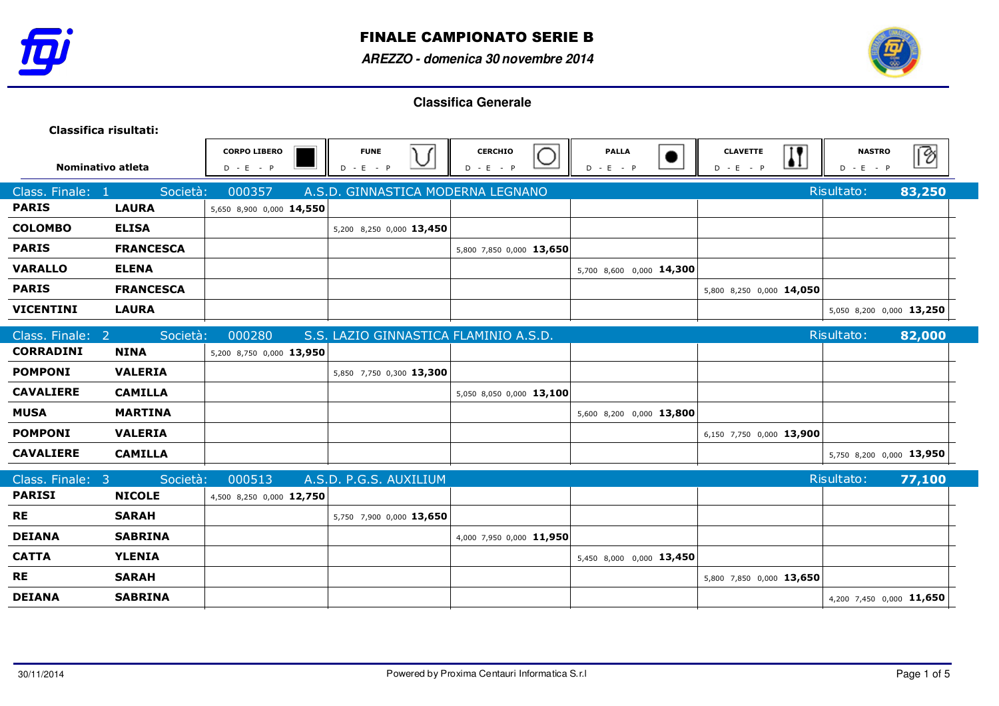



| Classifica risultati: |                  |                                    |                                       |                               |                             |                                |                         |                              |             |
|-----------------------|------------------|------------------------------------|---------------------------------------|-------------------------------|-----------------------------|--------------------------------|-------------------------|------------------------------|-------------|
| Nominativo atleta     |                  | <b>CORPO LIBERO</b><br>$D - E - P$ | <b>FUNE</b><br>∖∫<br>◡<br>$D - E - P$ | <b>CERCHIO</b><br>$D - E - P$ | <b>PALLA</b><br>$D - E - P$ | <b>CLAVETTE</b><br>$D - E - P$ | $\overline{\mathbf{R}}$ | <b>NASTRO</b><br>$D - E - P$ | $\boxed{?}$ |
| Class. Finale: 1      | Società:         | 000357                             | A.S.D. GINNASTICA MODERNA LEGNANO     |                               |                             |                                |                         | Risultato:                   | 83,250      |
| <b>PARIS</b>          | <b>LAURA</b>     | 5,650 8,900 0,000 14,550           |                                       |                               |                             |                                |                         |                              |             |
| <b>COLOMBO</b>        | <b>ELISA</b>     |                                    | 5,200 8,250 0,000 13,450              |                               |                             |                                |                         |                              |             |
| <b>PARIS</b>          | <b>FRANCESCA</b> |                                    |                                       | 5,800 7,850 0,000 13,650      |                             |                                |                         |                              |             |
| <b>VARALLO</b>        | <b>ELENA</b>     |                                    |                                       |                               | 5,700 8,600 0,000 14,300    |                                |                         |                              |             |
| <b>PARIS</b>          | <b>FRANCESCA</b> |                                    |                                       |                               |                             | 5,800 8,250 0,000 14,050       |                         |                              |             |
| <b>VICENTINI</b>      | <b>LAURA</b>     |                                    |                                       |                               |                             |                                |                         | 5,050 8,200 0,000 13,250     |             |
| Class. Finale: 2      | Società:         | 000280                             | S.S. LAZIO GINNASTICA FLAMINIO A.S.D. |                               |                             |                                |                         | Risultato:                   | 82,000      |
| <b>CORRADINI</b>      | <b>NINA</b>      | 5,200 8,750 0,000 13,950           |                                       |                               |                             |                                |                         |                              |             |
| <b>POMPONI</b>        | <b>VALERIA</b>   |                                    | 5,850 7,750 0,300 13,300              |                               |                             |                                |                         |                              |             |
| <b>CAVALIERE</b>      | <b>CAMILLA</b>   |                                    |                                       | 5,050 8,050 0,000 13,100      |                             |                                |                         |                              |             |
| <b>MUSA</b>           | <b>MARTINA</b>   |                                    |                                       |                               | 5,600 8,200 0,000 13,800    |                                |                         |                              |             |
| <b>POMPONI</b>        | <b>VALERIA</b>   |                                    |                                       |                               |                             | 6,150 7,750 0,000 13,900       |                         |                              |             |
| <b>CAVALIERE</b>      | <b>CAMILLA</b>   |                                    |                                       |                               |                             |                                |                         | 5,750 8,200 0,000 13,950     |             |
| Class. Finale: 3      | Società:         | 000513                             | A.S.D. P.G.S. AUXILIUM                |                               |                             |                                |                         | Risultato:                   | 77,100      |
| <b>PARISI</b>         | <b>NICOLE</b>    | 4,500 8,250 0,000 12,750           |                                       |                               |                             |                                |                         |                              |             |
| <b>RE</b>             | <b>SARAH</b>     |                                    | 5,750 7,900 0,000 13,650              |                               |                             |                                |                         |                              |             |
| <b>DEIANA</b>         | <b>SABRINA</b>   |                                    |                                       | 4,000 7,950 0,000 11,950      |                             |                                |                         |                              |             |
| <b>CATTA</b>          | <b>YLENIA</b>    |                                    |                                       |                               | 5,450 8,000 0,000 13,450    |                                |                         |                              |             |
| <b>RE</b>             | <b>SARAH</b>     |                                    |                                       |                               |                             | 5,800 7,850 0,000 13,650       |                         |                              |             |
| <b>DEIANA</b>         | <b>SABRINA</b>   |                                    |                                       |                               |                             |                                |                         | 4,200 7,450 0,000 11,650     |             |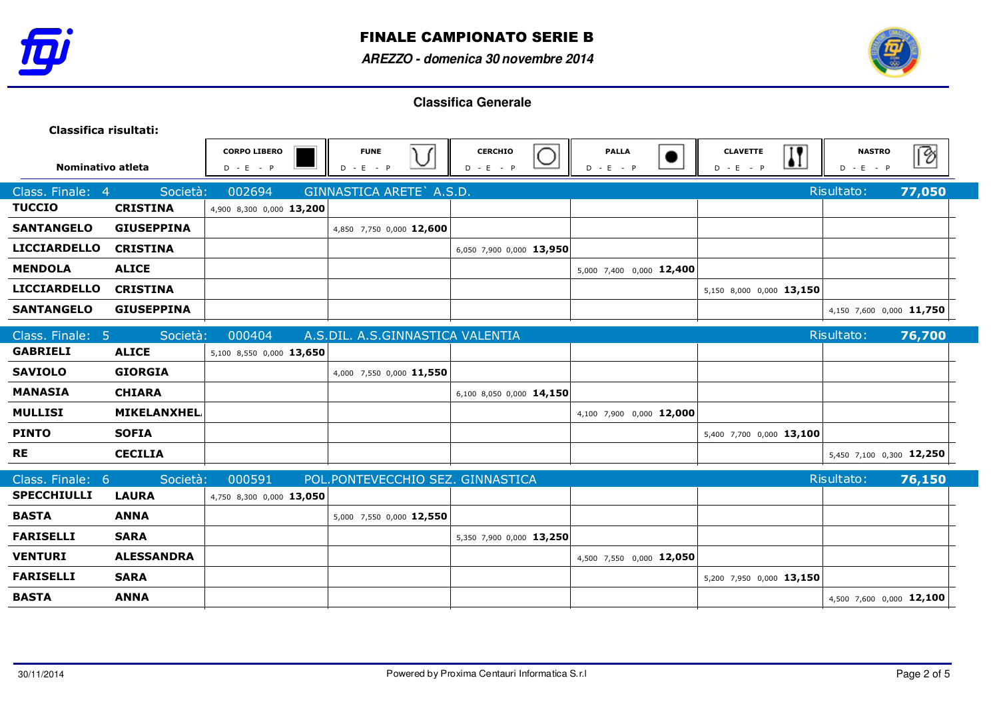



| Classifica risultati: |                    |                                    |                                  |                               |                             |                                                        |                              |        |
|-----------------------|--------------------|------------------------------------|----------------------------------|-------------------------------|-----------------------------|--------------------------------------------------------|------------------------------|--------|
| Nominativo atleta     |                    | <b>CORPO LIBERO</b><br>$D - E - P$ | <b>FUNE</b><br>$D - E - P$       | <b>CERCHIO</b><br>$D - E - P$ | <b>PALLA</b><br>$D - E - P$ | $\overline{\bf \Pi}$<br><b>CLAVETTE</b><br>$D - E - P$ | <b>NASTRO</b><br>$D - E - P$ | P      |
| Class. Finale: 4      | Società:           | 002694                             | GINNASTICA ARETE A.S.D.          |                               |                             |                                                        | Risultato:                   | 77,050 |
| <b>TUCCIO</b>         | <b>CRISTINA</b>    | 4,900 8,300 0,000 13,200           |                                  |                               |                             |                                                        |                              |        |
| <b>SANTANGELO</b>     | <b>GIUSEPPINA</b>  |                                    | 4,850 7,750 0,000 12,600         |                               |                             |                                                        |                              |        |
| <b>LICCIARDELLO</b>   | <b>CRISTINA</b>    |                                    |                                  | 6,050 7,900 0,000 13,950      |                             |                                                        |                              |        |
| <b>MENDOLA</b>        | <b>ALICE</b>       |                                    |                                  |                               | 5,000 7,400 0,000 12,400    |                                                        |                              |        |
| <b>LICCIARDELLO</b>   | <b>CRISTINA</b>    |                                    |                                  |                               |                             | 5,150 8,000 0,000 13,150                               |                              |        |
| <b>SANTANGELO</b>     | <b>GIUSEPPINA</b>  |                                    |                                  |                               |                             |                                                        | 4,150 7,600 0,000 11,750     |        |
| Class. Finale: 5      | Società:           | 000404                             | A.S.DIL. A.S.GINNASTICA VALENTIA |                               |                             |                                                        | Risultato:                   | 76,700 |
| <b>GABRIELI</b>       | <b>ALICE</b>       | 5,100 8,550 0,000 13,650           |                                  |                               |                             |                                                        |                              |        |
| <b>SAVIOLO</b>        | <b>GIORGIA</b>     |                                    | 4,000 7,550 0,000 11,550         |                               |                             |                                                        |                              |        |
| <b>MANASIA</b>        | <b>CHIARA</b>      |                                    |                                  | 6,100 8,050 0,000 14,150      |                             |                                                        |                              |        |
| <b>MULLISI</b>        | <b>MIKELANXHEL</b> |                                    |                                  |                               | 4,100 7,900 0,000 12,000    |                                                        |                              |        |
| <b>PINTO</b>          | <b>SOFIA</b>       |                                    |                                  |                               |                             | 5,400 7,700 0,000 13,100                               |                              |        |
| <b>RE</b>             | <b>CECILIA</b>     |                                    |                                  |                               |                             |                                                        | 5,450 7,100 0,300 12,250     |        |
| Class. Finale: 6      | Società:           | 000591                             | POL.PONTEVECCHIO SEZ. GINNASTICA |                               |                             |                                                        | Risultato:                   | 76,150 |
| <b>SPECCHIULLI</b>    | <b>LAURA</b>       | 4,750 8,300 0,000 13,050           |                                  |                               |                             |                                                        |                              |        |
| <b>BASTA</b>          | <b>ANNA</b>        |                                    | 5,000 7,550 0,000 12,550         |                               |                             |                                                        |                              |        |
| <b>FARISELLI</b>      | <b>SARA</b>        |                                    |                                  | 5,350 7,900 0,000 13,250      |                             |                                                        |                              |        |
| <b>VENTURI</b>        | <b>ALESSANDRA</b>  |                                    |                                  |                               | 4,500 7,550 0,000 12,050    |                                                        |                              |        |
| <b>FARISELLI</b>      | <b>SARA</b>        |                                    |                                  |                               |                             | 5,200 7,950 0,000 13,150                               |                              |        |
| <b>BASTA</b>          | <b>ANNA</b>        |                                    |                                  |                               |                             |                                                        | 4,500 7,600 0,000 12,100     |        |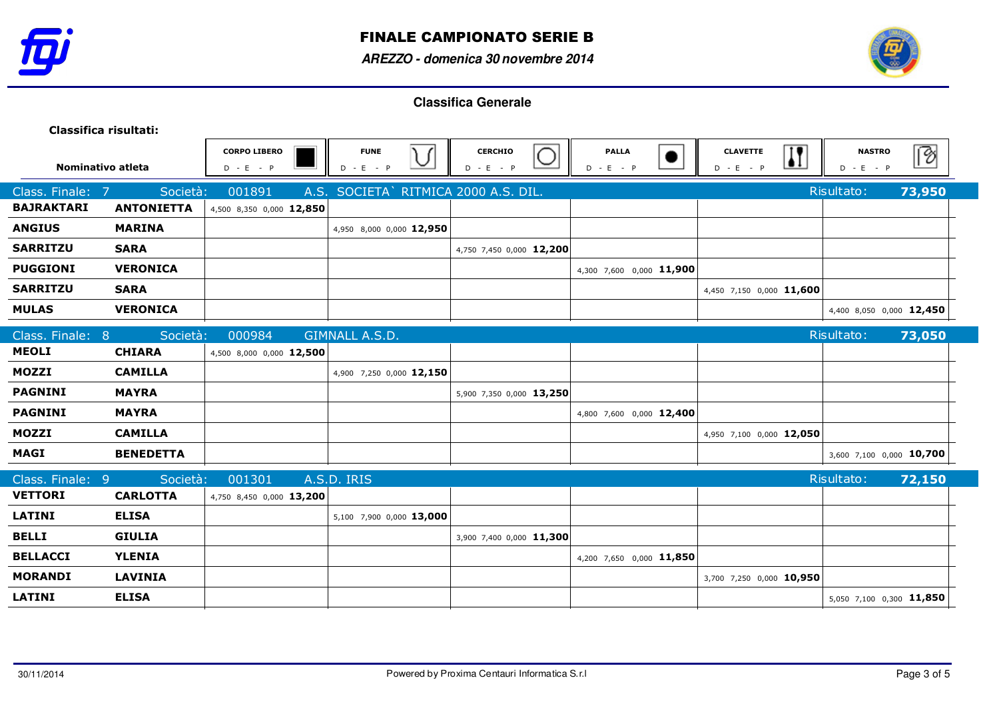



| Classifica risultati:            |                   |                                    |                                      |                               |                             |                                                |                              |        |
|----------------------------------|-------------------|------------------------------------|--------------------------------------|-------------------------------|-----------------------------|------------------------------------------------|------------------------------|--------|
| Nominativo atleta                |                   | <b>CORPO LIBERO</b><br>$D - E - P$ | <b>FUNE</b><br>V<br>$D - E - P$      | <b>CERCHIO</b><br>$D - E - P$ | <b>PALLA</b><br>$D - E - P$ | <b>CLAVETTE</b><br>$\mathbf{H}$<br>$D - E - P$ | <b>NASTRO</b><br>$D - E - P$ | ि      |
| Class. Finale:<br>$\overline{7}$ | Società:          | 001891                             | A.S. SOCIETA` RITMICA 2000 A.S. DIL. |                               |                             |                                                | Risultato:                   | 73,950 |
| <b>BAJRAKTARI</b>                | <b>ANTONIETTA</b> | 4,500 8,350 0,000 12,850           |                                      |                               |                             |                                                |                              |        |
| <b>ANGIUS</b>                    | <b>MARINA</b>     |                                    | 4,950 8,000 0,000 12,950             |                               |                             |                                                |                              |        |
| <b>SARRITZU</b>                  | <b>SARA</b>       |                                    |                                      | 4,750 7,450 0,000 12,200      |                             |                                                |                              |        |
| <b>PUGGIONI</b>                  | <b>VERONICA</b>   |                                    |                                      |                               | 4,300 7,600 0,000 11,900    |                                                |                              |        |
| <b>SARRITZU</b>                  | <b>SARA</b>       |                                    |                                      |                               |                             | 4,450 7,150 0,000 11,600                       |                              |        |
| <b>MULAS</b>                     | <b>VERONICA</b>   |                                    |                                      |                               |                             |                                                | 4,400 8,050 0,000 12,450     |        |
| Class. Finale: 8                 | Società:          | 000984                             | GIMNALL A.S.D.                       |                               |                             |                                                | Risultato:                   | 73,050 |
| <b>MEOLI</b>                     | <b>CHIARA</b>     | 4,500 8,000 0,000 12,500           |                                      |                               |                             |                                                |                              |        |
| <b>MOZZI</b>                     | <b>CAMILLA</b>    |                                    | 4,900 7,250 0,000 12,150             |                               |                             |                                                |                              |        |
| <b>PAGNINI</b>                   | <b>MAYRA</b>      |                                    |                                      | 5,900 7,350 0,000 13,250      |                             |                                                |                              |        |
| <b>PAGNINI</b>                   | <b>MAYRA</b>      |                                    |                                      |                               | 4,800 7,600 0,000 12,400    |                                                |                              |        |
| <b>MOZZI</b>                     | <b>CAMILLA</b>    |                                    |                                      |                               |                             | 4,950 7,100 0,000 12,050                       |                              |        |
| <b>MAGI</b>                      | <b>BENEDETTA</b>  |                                    |                                      |                               |                             |                                                | 3,600 7,100 0,000 10,700     |        |
| Class. Finale: 9                 | Società:          | 001301                             | A.S.D. IRIS                          |                               |                             |                                                | Risultato:                   | 72,150 |
| <b>VETTORI</b>                   | <b>CARLOTTA</b>   | 4,750 8,450 0,000 13,200           |                                      |                               |                             |                                                |                              |        |
| <b>LATINI</b>                    | <b>ELISA</b>      |                                    | 5,100 7,900 0,000 13,000             |                               |                             |                                                |                              |        |
| <b>BELLI</b>                     | <b>GIULIA</b>     |                                    |                                      | 3,900 7,400 0,000 11,300      |                             |                                                |                              |        |
| <b>BELLACCI</b>                  | <b>YLENIA</b>     |                                    |                                      |                               | 4,200 7,650 0,000 11,850    |                                                |                              |        |
| <b>MORANDI</b>                   | <b>LAVINIA</b>    |                                    |                                      |                               |                             | 3,700 7,250 0,000 10,950                       |                              |        |
| <b>LATINI</b>                    | <b>ELISA</b>      |                                    |                                      |                               |                             |                                                | 5,050 7,100 0,300 11,850     |        |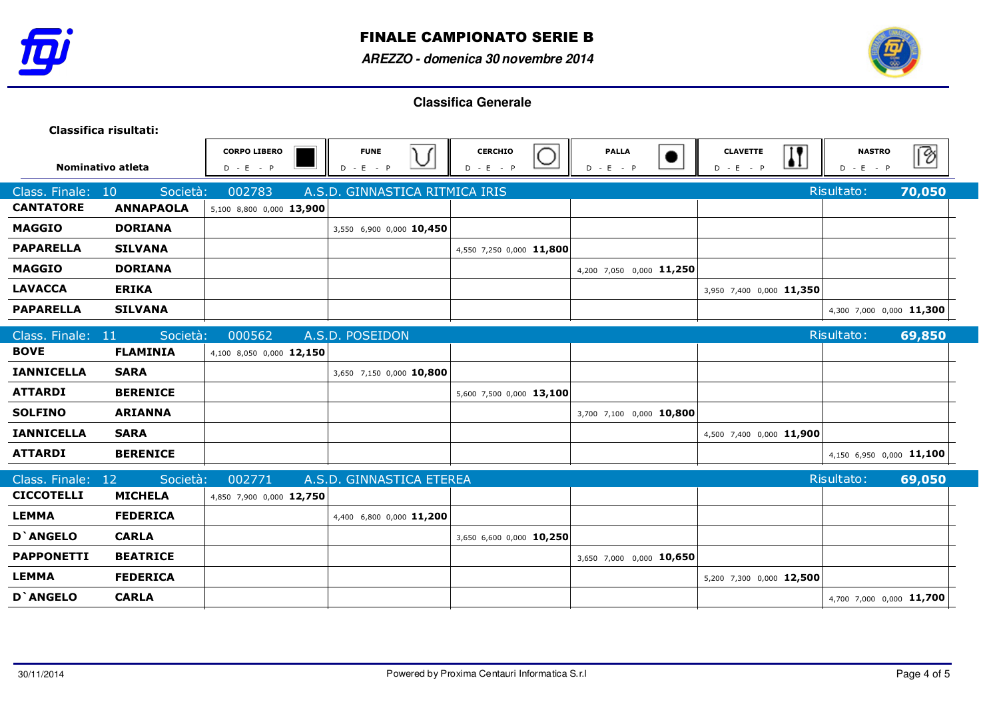



| Classifica risultati: |                  |                                    |                                                        |                               |                             |                                |                                                         |                          |
|-----------------------|------------------|------------------------------------|--------------------------------------------------------|-------------------------------|-----------------------------|--------------------------------|---------------------------------------------------------|--------------------------|
| Nominativo atleta     |                  | <b>CORPO LIBERO</b><br>$D - E - P$ | <b>FUNE</b><br>$\overline{\mathcal{C}}$<br>$D - E - P$ | <b>CERCHIO</b><br>$D - E - P$ | <b>PALLA</b><br>$D - E - P$ | <b>CLAVETTE</b><br>$D - E - P$ | $\overline{\mathbf{H}}$<br><b>NASTRO</b><br>$D - E - P$ | $\boxed{?}$              |
| Class. Finale:        | 10<br>Società:   | 002783                             | A.S.D. GINNASTICA RITMICA IRIS                         |                               |                             |                                | Risultato:                                              | 70,050                   |
| <b>CANTATORE</b>      | <b>ANNAPAOLA</b> | 5,100 8,800 0,000 13,900           |                                                        |                               |                             |                                |                                                         |                          |
| <b>MAGGIO</b>         | <b>DORIANA</b>   |                                    | 3,550 6,900 0,000 10,450                               |                               |                             |                                |                                                         |                          |
| <b>PAPARELLA</b>      | <b>SILVANA</b>   |                                    |                                                        | 4,550 7,250 0,000 11,800      |                             |                                |                                                         |                          |
| <b>MAGGIO</b>         | <b>DORIANA</b>   |                                    |                                                        |                               | 4,200 7,050 0,000 11,250    |                                |                                                         |                          |
| <b>LAVACCA</b>        | <b>ERIKA</b>     |                                    |                                                        |                               |                             | 3,950 7,400 0,000 11,350       |                                                         |                          |
| <b>PAPARELLA</b>      | <b>SILVANA</b>   |                                    |                                                        |                               |                             |                                |                                                         | 4,300 7,000 0,000 11,300 |
| Class. Finale: 11     | Società:         | 000562                             | A.S.D. POSEIDON                                        |                               |                             |                                | Risultato:                                              | 69,850                   |
| <b>BOVE</b>           | <b>FLAMINIA</b>  | 4,100 8,050 0,000 12,150           |                                                        |                               |                             |                                |                                                         |                          |
| <b>IANNICELLA</b>     | <b>SARA</b>      |                                    | 3,650 7,150 0,000 10,800                               |                               |                             |                                |                                                         |                          |
| <b>ATTARDI</b>        | <b>BERENICE</b>  |                                    |                                                        | 5,600 7,500 0,000 13,100      |                             |                                |                                                         |                          |
| <b>SOLFINO</b>        | <b>ARIANNA</b>   |                                    |                                                        |                               | 3,700 7,100 0,000 10,800    |                                |                                                         |                          |
| <b>IANNICELLA</b>     | <b>SARA</b>      |                                    |                                                        |                               |                             | 4,500 7,400 0,000 11,900       |                                                         |                          |
| <b>ATTARDI</b>        | <b>BERENICE</b>  |                                    |                                                        |                               |                             |                                |                                                         | 4,150 6,950 0,000 11,100 |
| Class. Finale:        | Società:<br>12   | 002771                             | A.S.D. GINNASTICA ETEREA                               |                               |                             |                                | Risultato:                                              | 69,050                   |
| <b>CICCOTELLI</b>     | <b>MICHELA</b>   | 4,850 7,900 0,000 12,750           |                                                        |                               |                             |                                |                                                         |                          |
| <b>LEMMA</b>          | <b>FEDERICA</b>  |                                    | 4,400 6,800 0,000 11,200                               |                               |                             |                                |                                                         |                          |
| <b>D</b> `ANGELO      | <b>CARLA</b>     |                                    |                                                        | 3,650 6,600 0,000 10,250      |                             |                                |                                                         |                          |
| <b>PAPPONETTI</b>     | <b>BEATRICE</b>  |                                    |                                                        |                               | 3,650 7,000 0,000 10,650    |                                |                                                         |                          |
| <b>LEMMA</b>          | <b>FEDERICA</b>  |                                    |                                                        |                               |                             | 5,200 7,300 0,000 12,500       |                                                         |                          |
| <b>D'ANGELO</b>       | <b>CARLA</b>     |                                    |                                                        |                               |                             |                                |                                                         | 4,700 7,000 0,000 11,700 |